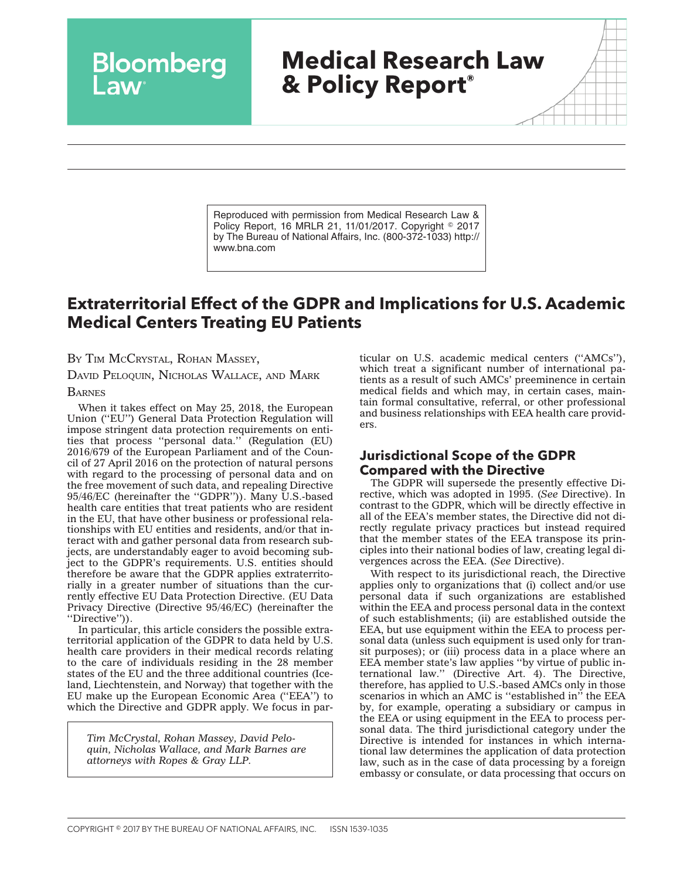# **Medical Research Law & Policy Report®**

Reproduced with permission from Medical Research Law & Policy Report, 16 MRLR 21, 11/01/2017. Copyright © 2017 by The Bureau of National Affairs, Inc. (800-372-1033) http:// www.bna.com

# **Extraterritorial Effect of the GDPR and Implications for U.S. Academic Medical Centers Treating EU Patients**

BY TIM MCCRYSTAL, ROHAN MASSEY,

Bloomberg

DAVID PELOQUIN, NICHOLAS WALLACE, AND MARK

**BARNES** 

When it takes effect on May 25, 2018, the European Union (''EU'') General Data Protection Regulation will impose stringent data protection requirements on entities that process ''personal data.'' (Regulation (EU) 2016/679 of the European Parliament and of the Council of 27 April 2016 on the protection of natural persons with regard to the processing of personal data and on the free movement of such data, and repealing Directive 95/46/EC (hereinafter the ''GDPR'')). Many U.S.-based health care entities that treat patients who are resident in the EU, that have other business or professional relationships with EU entities and residents, and/or that interact with and gather personal data from research subjects, are understandably eager to avoid becoming subject to the GDPR's requirements. U.S. entities should therefore be aware that the GDPR applies extraterritorially in a greater number of situations than the currently effective EU Data Protection Directive. (EU Data Privacy Directive (Directive 95/46/EC) (hereinafter the ''Directive'')).

In particular, this article considers the possible extraterritorial application of the GDPR to data held by U.S. health care providers in their medical records relating to the care of individuals residing in the 28 member states of the EU and the three additional countries (Iceland, Liechtenstein, and Norway) that together with the EU make up the European Economic Area (''EEA'') to which the Directive and GDPR apply. We focus in par-

*Tim McCrystal, Rohan Massey, David Peloquin, Nicholas Wallace, and Mark Barnes are attorneys with Ropes & Gray LLP.*

ticular on U.S. academic medical centers (''AMCs''), which treat a significant number of international patients as a result of such AMCs' preeminence in certain medical fields and which may, in certain cases, maintain formal consultative, referral, or other professional and business relationships with EEA health care providers.

### **Jurisdictional Scope of the GDPR Compared with the Directive**

The GDPR will supersede the presently effective Directive, which was adopted in 1995. (*See* Directive). In contrast to the GDPR, which will be directly effective in all of the EEA's member states, the Directive did not directly regulate privacy practices but instead required that the member states of the EEA transpose its principles into their national bodies of law, creating legal divergences across the EEA. (*See* Directive).

With respect to its jurisdictional reach, the Directive applies only to organizations that (i) collect and/or use personal data if such organizations are established within the EEA and process personal data in the context of such establishments; (ii) are established outside the EEA, but use equipment within the EEA to process personal data (unless such equipment is used only for transit purposes); or (iii) process data in a place where an EEA member state's law applies ''by virtue of public international law.'' (Directive Art. 4). The Directive, therefore, has applied to U.S.-based AMCs only in those scenarios in which an AMC is ''established in'' the EEA by, for example, operating a subsidiary or campus in the EEA or using equipment in the EEA to process personal data. The third jurisdictional category under the Directive is intended for instances in which international law determines the application of data protection law, such as in the case of data processing by a foreign embassy or consulate, or data processing that occurs on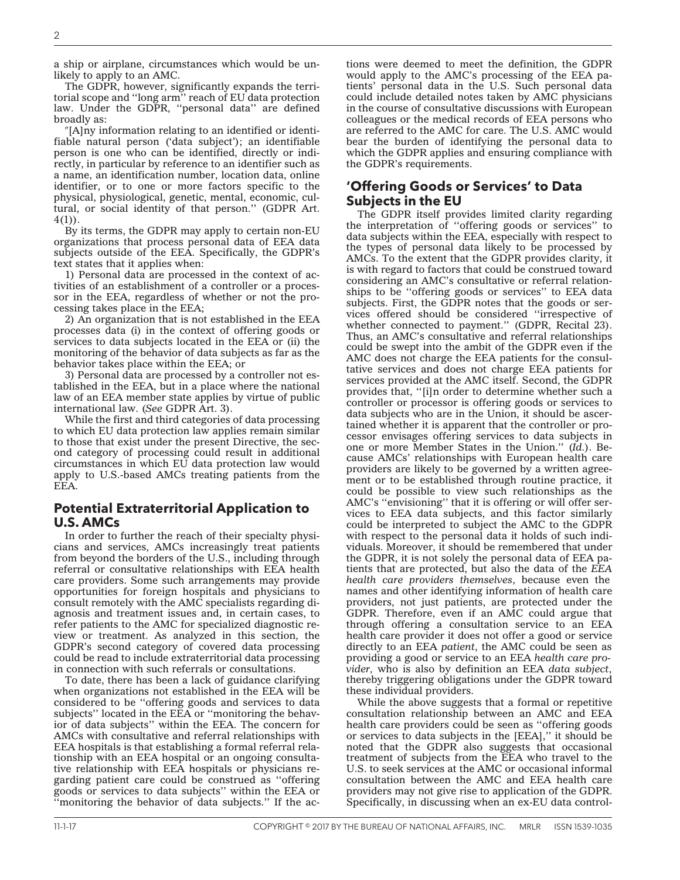a ship or airplane, circumstances which would be unlikely to apply to an AMC.

The GDPR, however, significantly expands the territorial scope and ''long arm'' reach of EU data protection law. Under the GDPR, ''personal data'' are defined broadly as:

[A]ny information relating to an identified or identifiable natural person ('data subject'); an identifiable person is one who can be identified, directly or indirectly, in particular by reference to an identifier such as a name, an identification number, location data, online identifier, or to one or more factors specific to the physical, physiological, genetic, mental, economic, cultural, or social identity of that person.'' (GDPR Art.  $4(1)$ ).

By its terms, the GDPR may apply to certain non-EU organizations that process personal data of EEA data subjects outside of the EEA. Specifically, the GDPR's text states that it applies when:

1) Personal data are processed in the context of activities of an establishment of a controller or a processor in the EEA, regardless of whether or not the processing takes place in the EEA;

2) An organization that is not established in the EEA processes data (i) in the context of offering goods or services to data subjects located in the EEA or (ii) the monitoring of the behavior of data subjects as far as the behavior takes place within the EEA; or

3) Personal data are processed by a controller not established in the EEA, but in a place where the national law of an EEA member state applies by virtue of public international law. (*See* GDPR Art. 3).

While the first and third categories of data processing to which EU data protection law applies remain similar to those that exist under the present Directive, the second category of processing could result in additional circumstances in which EU data protection law would apply to U.S.-based AMCs treating patients from the EEA.

#### **Potential Extraterritorial Application to U.S. AMCs**

In order to further the reach of their specialty physicians and services, AMCs increasingly treat patients from beyond the borders of the U.S., including through referral or consultative relationships with EEA health care providers. Some such arrangements may provide opportunities for foreign hospitals and physicians to consult remotely with the AMC specialists regarding diagnosis and treatment issues and, in certain cases, to refer patients to the AMC for specialized diagnostic review or treatment. As analyzed in this section, the GDPR's second category of covered data processing could be read to include extraterritorial data processing in connection with such referrals or consultations.

To date, there has been a lack of guidance clarifying when organizations not established in the EEA will be considered to be ''offering goods and services to data subjects" located in the EEA or "monitoring the behavior of data subjects'' within the EEA. The concern for AMCs with consultative and referral relationships with EEA hospitals is that establishing a formal referral relationship with an EEA hospital or an ongoing consultative relationship with EEA hospitals or physicians regarding patient care could be construed as ''offering goods or services to data subjects'' within the EEA or ''monitoring the behavior of data subjects.'' If the actions were deemed to meet the definition, the GDPR would apply to the AMC's processing of the EEA patients' personal data in the U.S. Such personal data could include detailed notes taken by AMC physicians in the course of consultative discussions with European colleagues or the medical records of EEA persons who are referred to the AMC for care. The U.S. AMC would bear the burden of identifying the personal data to which the GDPR applies and ensuring compliance with the GDPR's requirements.

### **'Offering Goods or Services' to Data Subjects in the EU**

The GDPR itself provides limited clarity regarding the interpretation of ''offering goods or services'' to data subjects within the EEA, especially with respect to the types of personal data likely to be processed by AMCs. To the extent that the GDPR provides clarity, it is with regard to factors that could be construed toward considering an AMC's consultative or referral relationships to be ''offering goods or services'' to EEA data subjects. First, the GDPR notes that the goods or services offered should be considered ''irrespective of whether connected to payment.'' (GDPR, Recital 23). Thus, an AMC's consultative and referral relationships could be swept into the ambit of the GDPR even if the AMC does not charge the EEA patients for the consultative services and does not charge EEA patients for services provided at the AMC itself. Second, the GDPR provides that, ''[i]n order to determine whether such a controller or processor is offering goods or services to data subjects who are in the Union, it should be ascertained whether it is apparent that the controller or processor envisages offering services to data subjects in one or more Member States in the Union.'' (*Id.*). Because AMCs' relationships with European health care providers are likely to be governed by a written agreement or to be established through routine practice, it could be possible to view such relationships as the AMC's ''envisioning'' that it is offering or will offer services to EEA data subjects, and this factor similarly could be interpreted to subject the AMC to the GDPR with respect to the personal data it holds of such individuals. Moreover, it should be remembered that under the GDPR, it is not solely the personal data of EEA patients that are protected, but also the data of the *EEA health care providers themselves*, because even the names and other identifying information of health care providers, not just patients, are protected under the GDPR. Therefore, even if an AMC could argue that through offering a consultation service to an EEA health care provider it does not offer a good or service directly to an EEA *patient*, the AMC could be seen as providing a good or service to an EEA *health care provider,* who is also by definition an EEA *data subject*, thereby triggering obligations under the GDPR toward these individual providers.

While the above suggests that a formal or repetitive consultation relationship between an AMC and EEA health care providers could be seen as ''offering goods or services to data subjects in the [EEA],'' it should be noted that the GDPR also suggests that occasional treatment of subjects from the EEA who travel to the U.S. to seek services at the AMC or occasional informal consultation between the AMC and EEA health care providers may not give rise to application of the GDPR. Specifically, in discussing when an ex-EU data control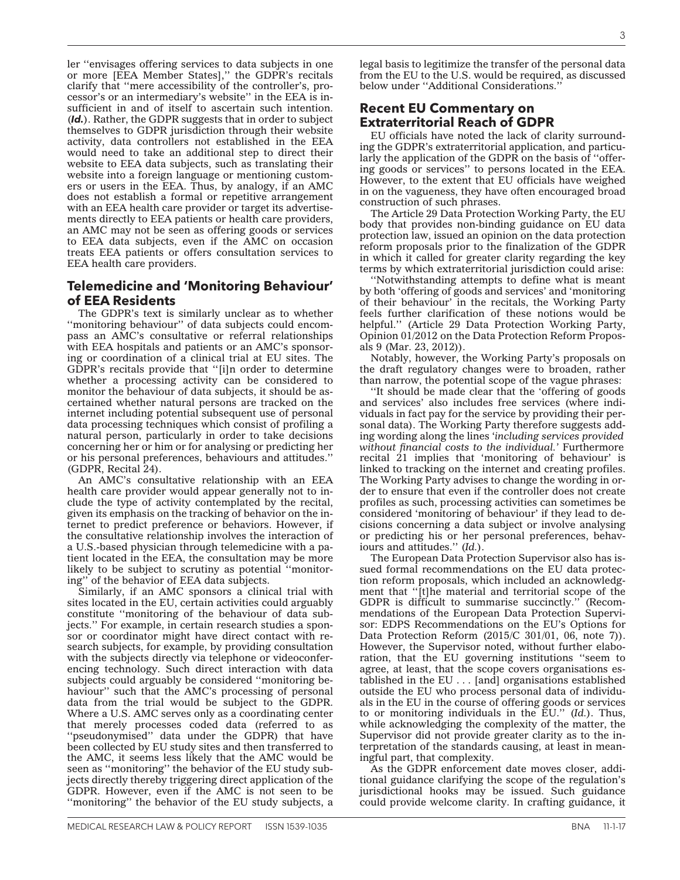ler ''envisages offering services to data subjects in one or more [EEA Member States],'' the GDPR's recitals clarify that ''mere accessibility of the controller's, processor's or an intermediary's website'' in the EEA is insufficient in and of itself to ascertain such intention. (*Id.*). Rather, the GDPR suggests that in order to subject themselves to GDPR jurisdiction through their website activity, data controllers not established in the EEA would need to take an additional step to direct their website to EEA data subjects, such as translating their website into a foreign language or mentioning customers or users in the EEA. Thus, by analogy, if an AMC does not establish a formal or repetitive arrangement with an EEA health care provider or target its advertisements directly to EEA patients or health care providers, an AMC may not be seen as offering goods or services to EEA data subjects, even if the AMC on occasion treats EEA patients or offers consultation services to EEA health care providers.

## **Telemedicine and 'Monitoring Behaviour' of EEA Residents**

The GDPR's text is similarly unclear as to whether ''monitoring behaviour'' of data subjects could encompass an AMC's consultative or referral relationships with EEA hospitals and patients or an AMC's sponsoring or coordination of a clinical trial at EU sites. The GDPR's recitals provide that ''[i]n order to determine whether a processing activity can be considered to monitor the behaviour of data subjects, it should be ascertained whether natural persons are tracked on the internet including potential subsequent use of personal data processing techniques which consist of profiling a natural person, particularly in order to take decisions concerning her or him or for analysing or predicting her or his personal preferences, behaviours and attitudes.'' (GDPR, Recital 24).

An AMC's consultative relationship with an EEA health care provider would appear generally not to include the type of activity contemplated by the recital, given its emphasis on the tracking of behavior on the internet to predict preference or behaviors. However, if the consultative relationship involves the interaction of a U.S.-based physician through telemedicine with a patient located in the EEA, the consultation may be more likely to be subject to scrutiny as potential ''monitoring'' of the behavior of EEA data subjects.

Similarly, if an AMC sponsors a clinical trial with sites located in the EU, certain activities could arguably constitute ''monitoring of the behaviour of data subjects.'' For example, in certain research studies a sponsor or coordinator might have direct contact with research subjects, for example, by providing consultation with the subjects directly via telephone or videoconferencing technology. Such direct interaction with data subjects could arguably be considered ''monitoring behaviour'' such that the AMC's processing of personal data from the trial would be subject to the GDPR. Where a U.S. AMC serves only as a coordinating center that merely processes coded data (referred to as ''pseudonymised'' data under the GDPR) that have been collected by EU study sites and then transferred to the AMC, it seems less likely that the AMC would be seen as ''monitoring'' the behavior of the EU study subjects directly thereby triggering direct application of the GDPR. However, even if the AMC is not seen to be ''monitoring'' the behavior of the EU study subjects, a

legal basis to legitimize the transfer of the personal data from the EU to the U.S. would be required, as discussed below under ''Additional Considerations.''

# **Recent EU Commentary on Extraterritorial Reach of GDPR**

EU officials have noted the lack of clarity surrounding the GDPR's extraterritorial application, and particularly the application of the GDPR on the basis of ''offering goods or services'' to persons located in the EEA. However, to the extent that EU officials have weighed in on the vagueness, they have often encouraged broad construction of such phrases.

The Article 29 Data Protection Working Party, the EU body that provides non-binding guidance on EU data protection law, issued an opinion on the data protection reform proposals prior to the finalization of the GDPR in which it called for greater clarity regarding the key terms by which extraterritorial jurisdiction could arise:

''Notwithstanding attempts to define what is meant by both 'offering of goods and services' and 'monitoring of their behaviour' in the recitals, the Working Party feels further clarification of these notions would be helpful.'' (Article 29 Data Protection Working Party, Opinion 01/2012 on the Data Protection Reform Proposals 9 (Mar. 23, 2012)).

Notably, however, the Working Party's proposals on the draft regulatory changes were to broaden, rather than narrow, the potential scope of the vague phrases:

''It should be made clear that the 'offering of goods and services' also includes free services (where individuals in fact pay for the service by providing their personal data). The Working Party therefore suggests adding wording along the lines '*including services provided without financial costs to the individual.'* Furthermore recital 21 implies that 'monitoring of behaviour' is linked to tracking on the internet and creating profiles. The Working Party advises to change the wording in order to ensure that even if the controller does not create profiles as such, processing activities can sometimes be considered 'monitoring of behaviour' if they lead to decisions concerning a data subject or involve analysing or predicting his or her personal preferences, behaviours and attitudes.'' (*Id.*).

The European Data Protection Supervisor also has issued formal recommendations on the EU data protection reform proposals, which included an acknowledgment that "[t]he material and territorial scope of the GDPR is difficult to summarise succinctly.'' (Recommendations of the European Data Protection Supervisor: EDPS Recommendations on the EU's Options for Data Protection Reform (2015/C 301/01, 06, note 7)). However, the Supervisor noted, without further elaboration, that the EU governing institutions ''seem to agree, at least, that the scope covers organisations established in the EU . . . [and] organisations established outside the EU who process personal data of individuals in the EU in the course of offering goods or services to or monitoring individuals in the EU.'' (*Id.*). Thus, while acknowledging the complexity of the matter, the Supervisor did not provide greater clarity as to the interpretation of the standards causing, at least in meaningful part, that complexity.

As the GDPR enforcement date moves closer, additional guidance clarifying the scope of the regulation's jurisdictional hooks may be issued. Such guidance could provide welcome clarity. In crafting guidance, it